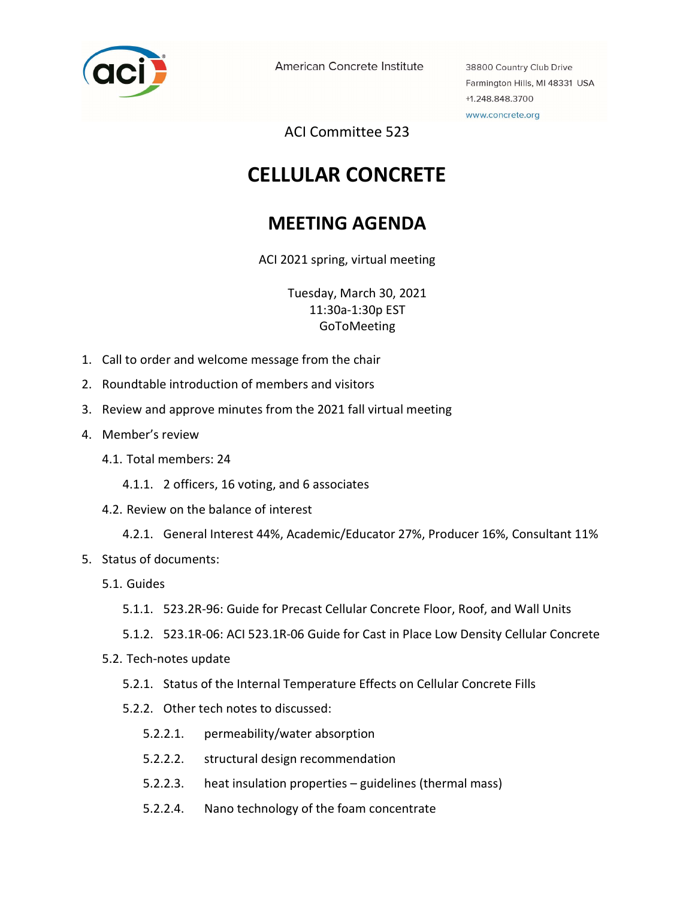

American Concrete Institute

38800 Country Club Drive Farmington Hills, MI 48331 USA +1.248.848.3700 www.concrete.org

ACI Committee 523

## CELLULAR CONCRETE

## MEETING AGENDA

ACI 2021 spring, virtual meeting

Tuesday, March 30, 2021 11:30a-1:30p EST GoToMeeting

- 1. Call to order and welcome message from the chair
- 2. Roundtable introduction of members and visitors
- 3. Review and approve minutes from the 2021 fall virtual meeting
- 4. Member's review
	- 4.1. Total members: 24
		- 4.1.1. 2 officers, 16 voting, and 6 associates
	- 4.2. Review on the balance of interest
		- 4.2.1. General Interest 44%, Academic/Educator 27%, Producer 16%, Consultant 11%
- 5. Status of documents:
	- 5.1. Guides
		- 5.1.1. 523.2R-96: Guide for Precast Cellular Concrete Floor, Roof, and Wall Units
		- 5.1.2. 523.1R-06: ACI 523.1R-06 Guide for Cast in Place Low Density Cellular Concrete
	- 5.2. Tech-notes update
		- 5.2.1. Status of the Internal Temperature Effects on Cellular Concrete Fills
		- 5.2.2. Other tech notes to discussed:
			- 5.2.2.1. permeability/water absorption
			- 5.2.2.2. structural design recommendation
			- 5.2.2.3. heat insulation properties guidelines (thermal mass)
			- 5.2.2.4. Nano technology of the foam concentrate